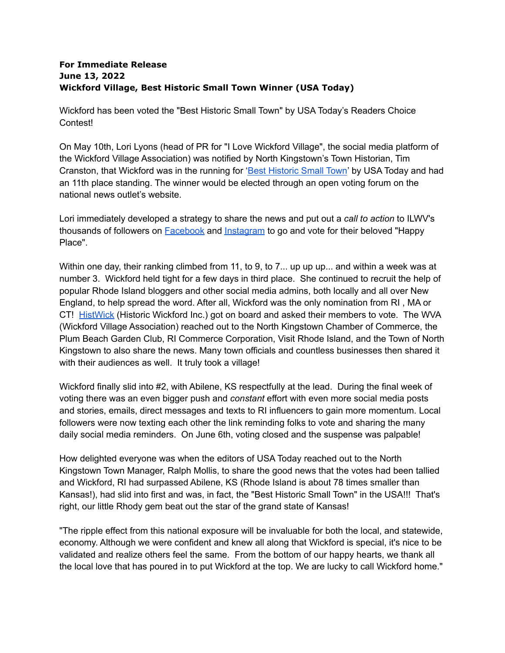## **For Immediate Release June 13, 2022 Wickford Village, Best Historic Small Town Winner (USA Today)**

Wickford has been voted the "Best Historic Small Town" by USA Today's Readers Choice Contest!

On May 10th, Lori Lyons (head of PR for "I Love Wickford Village", the social media platform of the Wickford Village Association) was notified by North Kingstown's Town Historian, Tim Cranston, that Wickford was in the running for 'Best [Historic](https://www.10best.com/awards/travel/best-historic-small-town-2022/) Small Town' by USA Today and had an 11th place standing. The winner would be elected through an open voting forum on the national news outlet's website.

Lori immediately developed a strategy to share the news and put out a *call to action* to ILWV's thousands of followers on [Facebook](https://www.facebook.com/ilovewickfordvillage) and [Instagram](https://www.instagram.com/ilovewickfordvillage/) to go and vote for their beloved "Happy Place".

Within one day, their ranking climbed from 11, to 9, to 7... up up up... and within a week was at number 3. Wickford held tight for a few days in third place. She continued to recruit the help of popular Rhode Island bloggers and other social media admins, both locally and all over New England, to help spread the word. After all, Wickford was the only nomination from RI , MA or CT! [HistWick](https://histwick.org/) (Historic Wickford Inc.) got on board and asked their members to vote. The WVA (Wickford Village Association) reached out to the North Kingstown Chamber of Commerce, the Plum Beach Garden Club, RI Commerce Corporation, Visit Rhode Island, and the Town of North Kingstown to also share the news. Many town officials and countless businesses then shared it with their audiences as well. It truly took a village!

Wickford finally slid into #2, with Abilene, KS respectfully at the lead. During the final week of voting there was an even bigger push and *constant* effort with even more social media posts and stories, emails, direct messages and texts to RI influencers to gain more momentum. Local followers were now texting each other the link reminding folks to vote and sharing the many daily social media reminders. On June 6th, voting closed and the suspense was palpable!

How delighted everyone was when the editors of USA Today reached out to the North Kingstown Town Manager, Ralph Mollis, to share the good news that the votes had been tallied and Wickford, RI had surpassed Abilene, KS (Rhode Island is about 78 times smaller than Kansas!), had slid into first and was, in fact, the "Best Historic Small Town" in the USA!!! That's right, our little Rhody gem beat out the star of the grand state of Kansas!

"The ripple effect from this national exposure will be invaluable for both the local, and statewide, economy. Although we were confident and knew all along that Wickford is special, it's nice to be validated and realize others feel the same. From the bottom of our happy hearts, we thank all the local love that has poured in to put Wickford at the top. We are lucky to call Wickford home."